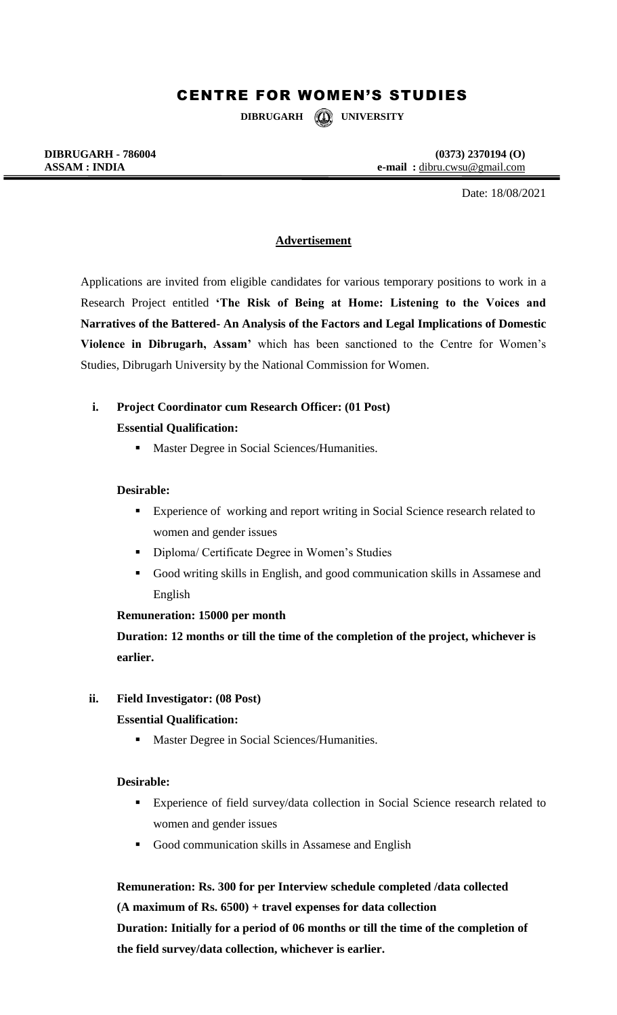# CENTRE FOR WOMEN'S STUDIES

**DIBRUGARH UNIVERSITY**

**DIBRUGARH - 786004** (0373) 2370194 (O)<br>ASSAM : **INDIA** e-mail : dibru.cwsu@gmail.com **ASSAM : INDIA e-mail :** dibru.cwsu@gmail.com

Date: 18/08/2021

### **Advertisement**

Applications are invited from eligible candidates for various temporary positions to work in a Research Project entitled **'The Risk of Being at Home: Listening to the Voices and Narratives of the Battered- An Analysis of the Factors and Legal Implications of Domestic Violence in Dibrugarh, Assam'** which has been sanctioned to the Centre for Women's Studies, Dibrugarh University by the National Commission for Women.

# **i. Project Coordinator cum Research Officer: (01 Post) Essential Qualification:**

**Master Degree in Social Sciences/Humanities.** 

#### **Desirable:**

- **Experience of working and report writing in Social Science research related to** women and gender issues
- **Diploma/ Certificate Degree in Women's Studies**
- Good writing skills in English, and good communication skills in Assamese and English

#### **Remuneration: 15000 per month**

**Duration: 12 months or till the time of the completion of the project, whichever is earlier.**

#### **ii. Field Investigator: (08 Post)**

#### **Essential Qualification:**

**Master Degree in Social Sciences/Humanities.** 

#### **Desirable:**

- Experience of field survey/data collection in Social Science research related to women and gender issues
- Good communication skills in Assamese and English

# **Remuneration: Rs. 300 for per Interview schedule completed /data collected**

**(A maximum of Rs. 6500) + travel expenses for data collection**

**Duration: Initially for a period of 06 months or till the time of the completion of the field survey/data collection, whichever is earlier.**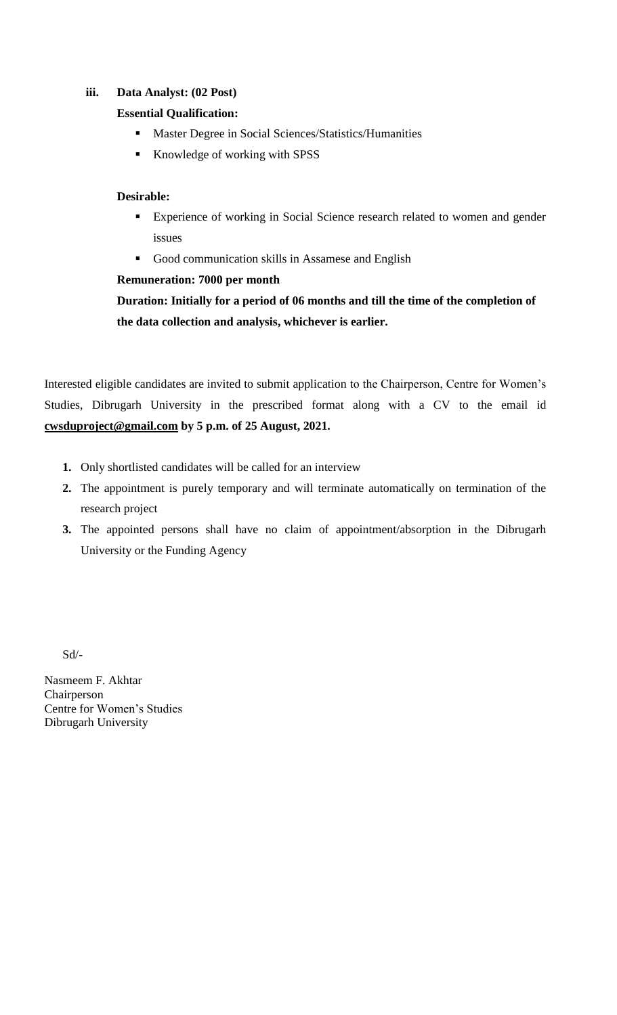### **iii. Data Analyst: (02 Post)**

### **Essential Qualification:**

- **Master Degree in Social Sciences/Statistics/Humanities**
- Knowledge of working with SPSS

### **Desirable:**

- **Experience of working in Social Science research related to women and gender** issues
- Good communication skills in Assamese and English

### **Remuneration: 7000 per month**

**Duration: Initially for a period of 06 months and till the time of the completion of the data collection and analysis, whichever is earlier.**

Interested eligible candidates are invited to submit application to the Chairperson, Centre for Women's Studies, Dibrugarh University in the prescribed format along with a CV to the email id **[cwsduproject@gmail.com](mailto:cwsduproject@gmail.com) by 5 p.m. of 25 August, 2021.** 

- **1.** Only shortlisted candidates will be called for an interview
- **2.** The appointment is purely temporary and will terminate automatically on termination of the research project
- **3.** The appointed persons shall have no claim of appointment/absorption in the Dibrugarh University or the Funding Agency

Sd/-

Nasmeem F. Akhtar Chairperson Centre for Women's Studies Dibrugarh University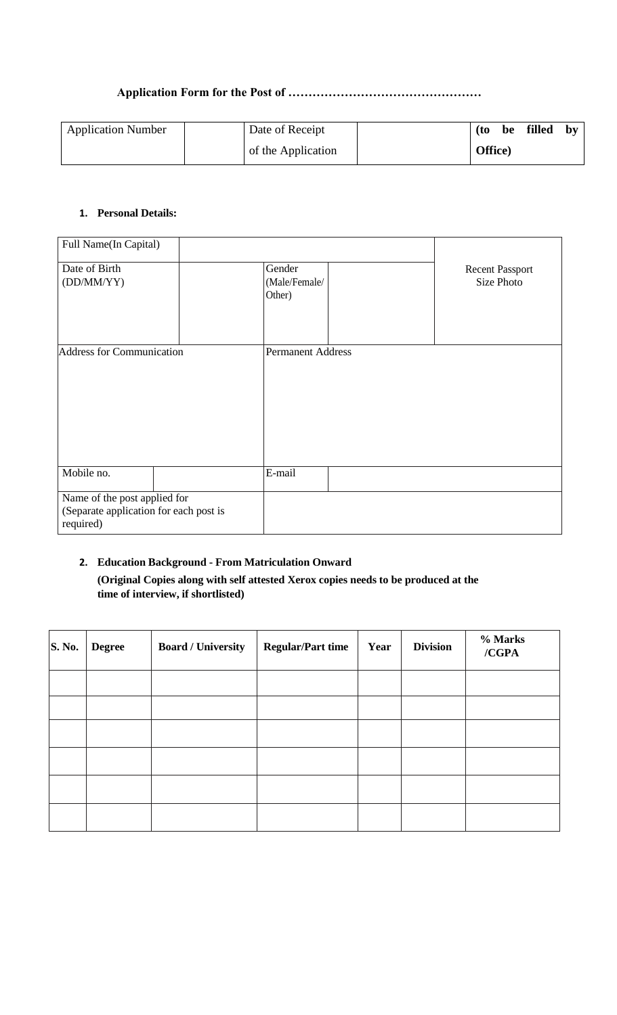### **Application Form for the Post of …………………………………………**

| <b>Application Number</b> | Date of Receipt    | filled<br>(to<br>be | bv |
|---------------------------|--------------------|---------------------|----|
|                           | of the Application | Office)             |    |

### **1. Personal Details:**

| Full Name(In Capital)                               |  |                                   |                                      |
|-----------------------------------------------------|--|-----------------------------------|--------------------------------------|
| Date of Birth<br>(DD/MM/YY)                         |  | Gender<br>(Male/Female/<br>Other) | <b>Recent Passport</b><br>Size Photo |
| <b>Address for Communication</b>                    |  | <b>Permanent Address</b>          |                                      |
|                                                     |  |                                   |                                      |
|                                                     |  |                                   |                                      |
|                                                     |  |                                   |                                      |
|                                                     |  |                                   |                                      |
|                                                     |  |                                   |                                      |
| Mobile no.                                          |  | E-mail                            |                                      |
| Name of the post applied for                        |  |                                   |                                      |
| (Separate application for each post is<br>required) |  |                                   |                                      |
|                                                     |  |                                   |                                      |

# **2. Education Background - From Matriculation Onward**

**(Original Copies along with self attested Xerox copies needs to be produced at the time of interview, if shortlisted)** 

| $\mathbf{S.}$ No. | <b>Degree</b> | <b>Board / University</b> | <b>Regular/Part time</b> | Year | <b>Division</b> | % Marks<br>/CGPA |
|-------------------|---------------|---------------------------|--------------------------|------|-----------------|------------------|
|                   |               |                           |                          |      |                 |                  |
|                   |               |                           |                          |      |                 |                  |
|                   |               |                           |                          |      |                 |                  |
|                   |               |                           |                          |      |                 |                  |
|                   |               |                           |                          |      |                 |                  |
|                   |               |                           |                          |      |                 |                  |